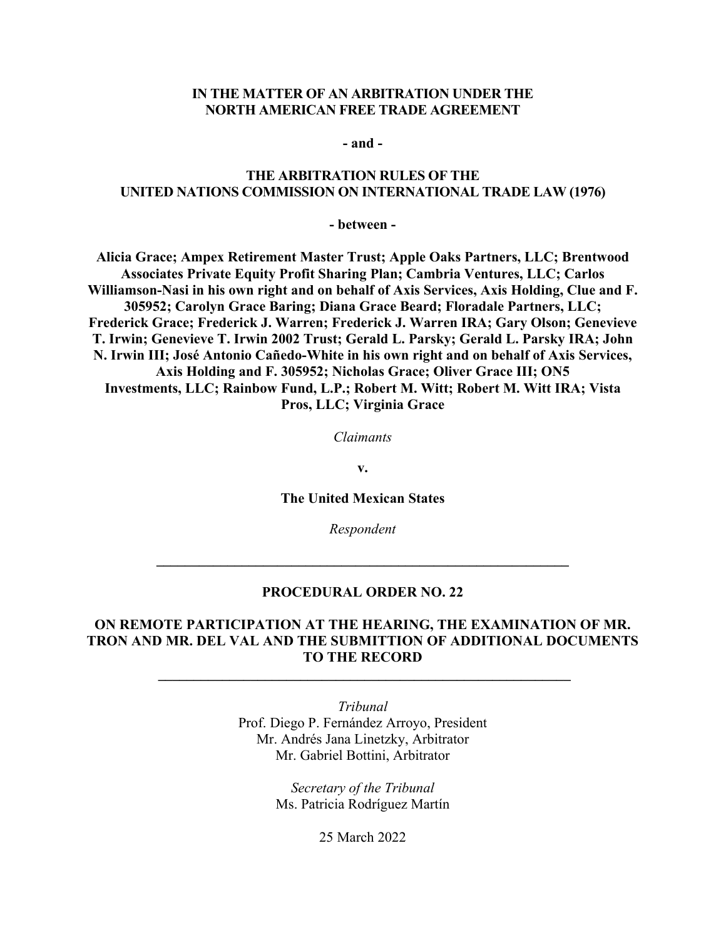### **IN THE MATTER OF AN ARBITRATION UNDER THE NORTH AMERICAN FREE TRADE AGREEMENT**

**- and -** 

### **THE ARBITRATION RULES OF THE UNITED NATIONS COMMISSION ON INTERNATIONAL TRADE LAW (1976)**

**- between -** 

**Alicia Grace; Ampex Retirement Master Trust; Apple Oaks Partners, LLC; Brentwood Associates Private Equity Profit Sharing Plan; Cambria Ventures, LLC; Carlos Williamson-Nasi in his own right and on behalf of Axis Services, Axis Holding, Clue and F. 305952; Carolyn Grace Baring; Diana Grace Beard; Floradale Partners, LLC; Frederick Grace; Frederick J. Warren; Frederick J. Warren IRA; Gary Olson; Genevieve T. Irwin; Genevieve T. Irwin 2002 Trust; Gerald L. Parsky; Gerald L. Parsky IRA; John N. Irwin III; José Antonio Cañedo-White in his own right and on behalf of Axis Services, Axis Holding and F. 305952; Nicholas Grace; Oliver Grace III; ON5 Investments, LLC; Rainbow Fund, L.P.; Robert M. Witt; Robert M. Witt IRA; Vista Pros, LLC; Virginia Grace** 

*Claimants* 

**v.** 

**The United Mexican States** 

*Respondent* 

#### **PROCEDURAL ORDER NO. 22**

**\_\_\_\_\_\_\_\_\_\_\_\_\_\_\_\_\_\_\_\_\_\_\_\_\_\_\_\_\_\_\_\_\_\_\_\_\_\_\_\_\_\_\_\_\_\_\_\_\_\_\_\_\_\_\_\_\_\_** 

## **ON REMOTE PARTICIPATION AT THE HEARING, THE EXAMINATION OF MR. TRON AND MR. DEL VAL AND THE SUBMITTION OF ADDITIONAL DOCUMENTS TO THE RECORD**

 **\_\_\_\_\_\_\_\_\_\_\_\_\_\_\_\_\_\_\_\_\_\_\_\_\_\_\_\_\_\_\_\_\_\_\_\_\_\_\_\_\_\_\_\_\_\_\_\_\_\_\_\_\_\_\_\_\_\_**

*Tribunal*  Prof. Diego P. Fernández Arroyo, President Mr. Andrés Jana Linetzky, Arbitrator Mr. Gabriel Bottini, Arbitrator

> *Secretary of the Tribunal*  Ms. Patricia Rodríguez Martín

> > 25 March 2022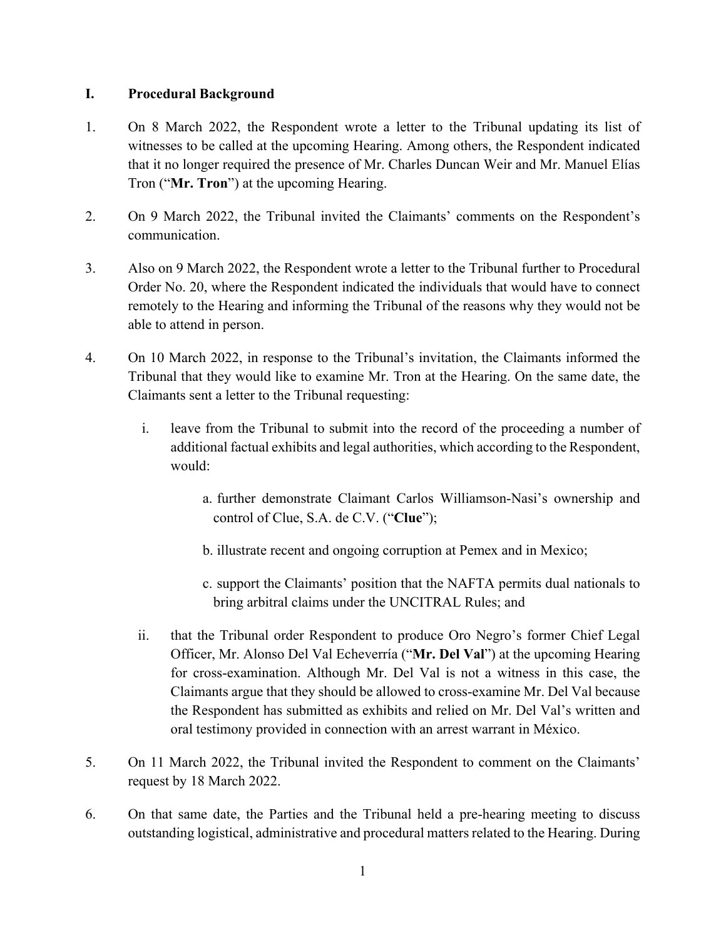## **I. Procedural Background**

- 1. On 8 March 2022, the Respondent wrote a letter to the Tribunal updating its list of witnesses to be called at the upcoming Hearing. Among others, the Respondent indicated that it no longer required the presence of Mr. Charles Duncan Weir and Mr. Manuel Elías Tron ("**Mr. Tron**") at the upcoming Hearing.
- 2. On 9 March 2022, the Tribunal invited the Claimants' comments on the Respondent's communication.
- 3. Also on 9 March 2022, the Respondent wrote a letter to the Tribunal further to Procedural Order No. 20, where the Respondent indicated the individuals that would have to connect remotely to the Hearing and informing the Tribunal of the reasons why they would not be able to attend in person.
- 4. On 10 March 2022, in response to the Tribunal's invitation, the Claimants informed the Tribunal that they would like to examine Mr. Tron at the Hearing. On the same date, the Claimants sent a letter to the Tribunal requesting:
	- i. leave from the Tribunal to submit into the record of the proceeding a number of additional factual exhibits and legal authorities, which according to the Respondent, would:
		- a. further demonstrate Claimant Carlos Williamson-Nasi's ownership and control of Clue, S.A. de C.V. ("**Clue**");
		- b. illustrate recent and ongoing corruption at Pemex and in Mexico;
		- c. support the Claimants' position that the NAFTA permits dual nationals to bring arbitral claims under the UNCITRAL Rules; and
	- ii. that the Tribunal order Respondent to produce Oro Negro's former Chief Legal Officer, Mr. Alonso Del Val Echeverría ("**Mr. Del Val**") at the upcoming Hearing for cross-examination. Although Mr. Del Val is not a witness in this case, the Claimants argue that they should be allowed to cross-examine Mr. Del Val because the Respondent has submitted as exhibits and relied on Mr. Del Val's written and oral testimony provided in connection with an arrest warrant in México.
- 5. On 11 March 2022, the Tribunal invited the Respondent to comment on the Claimants' request by 18 March 2022.
- 6. On that same date, the Parties and the Tribunal held a pre-hearing meeting to discuss outstanding logistical, administrative and procedural matters related to the Hearing. During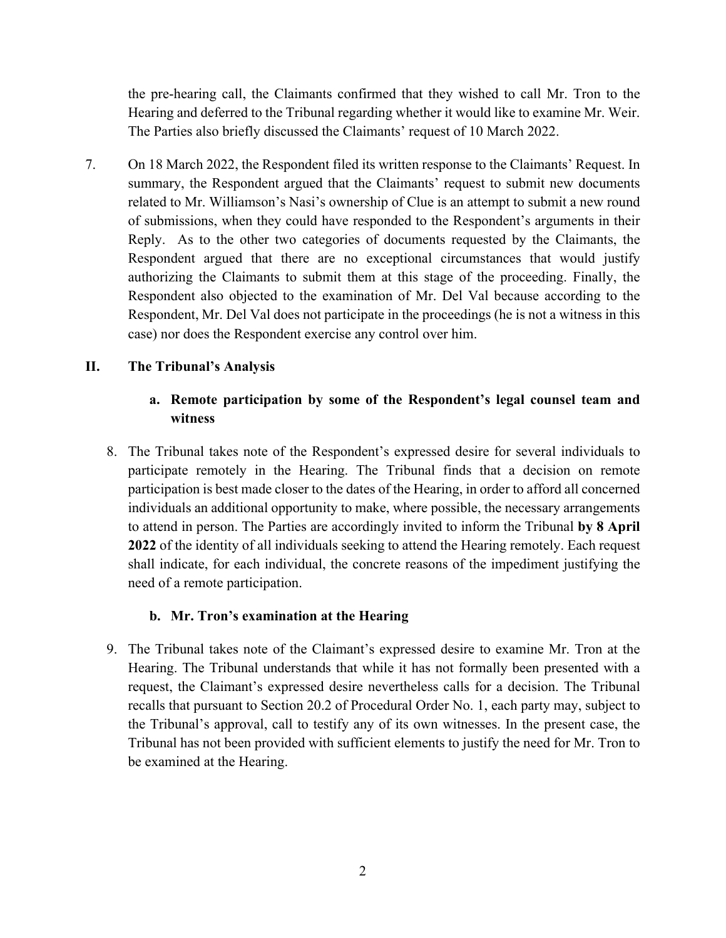the pre-hearing call, the Claimants confirmed that they wished to call Mr. Tron to the Hearing and deferred to the Tribunal regarding whether it would like to examine Mr. Weir. The Parties also briefly discussed the Claimants' request of 10 March 2022.

7. On 18 March 2022, the Respondent filed its written response to the Claimants' Request. In summary, the Respondent argued that the Claimants' request to submit new documents related to Mr. Williamson's Nasi's ownership of Clue is an attempt to submit a new round of submissions, when they could have responded to the Respondent's arguments in their Reply. As to the other two categories of documents requested by the Claimants, the Respondent argued that there are no exceptional circumstances that would justify authorizing the Claimants to submit them at this stage of the proceeding. Finally, the Respondent also objected to the examination of Mr. Del Val because according to the Respondent, Mr. Del Val does not participate in the proceedings (he is not a witness in this case) nor does the Respondent exercise any control over him.

# **II. The Tribunal's Analysis**

# **a. Remote participation by some of the Respondent's legal counsel team and witness**

8. The Tribunal takes note of the Respondent's expressed desire for several individuals to participate remotely in the Hearing. The Tribunal finds that a decision on remote participation is best made closer to the dates of the Hearing, in order to afford all concerned individuals an additional opportunity to make, where possible, the necessary arrangements to attend in person. The Parties are accordingly invited to inform the Tribunal **by 8 April 2022** of the identity of all individuals seeking to attend the Hearing remotely. Each request shall indicate, for each individual, the concrete reasons of the impediment justifying the need of a remote participation.

# **b. Mr. Tron's examination at the Hearing**

9. The Tribunal takes note of the Claimant's expressed desire to examine Mr. Tron at the Hearing. The Tribunal understands that while it has not formally been presented with a request, the Claimant's expressed desire nevertheless calls for a decision. The Tribunal recalls that pursuant to Section 20.2 of Procedural Order No. 1, each party may, subject to the Tribunal's approval, call to testify any of its own witnesses. In the present case, the Tribunal has not been provided with sufficient elements to justify the need for Mr. Tron to be examined at the Hearing.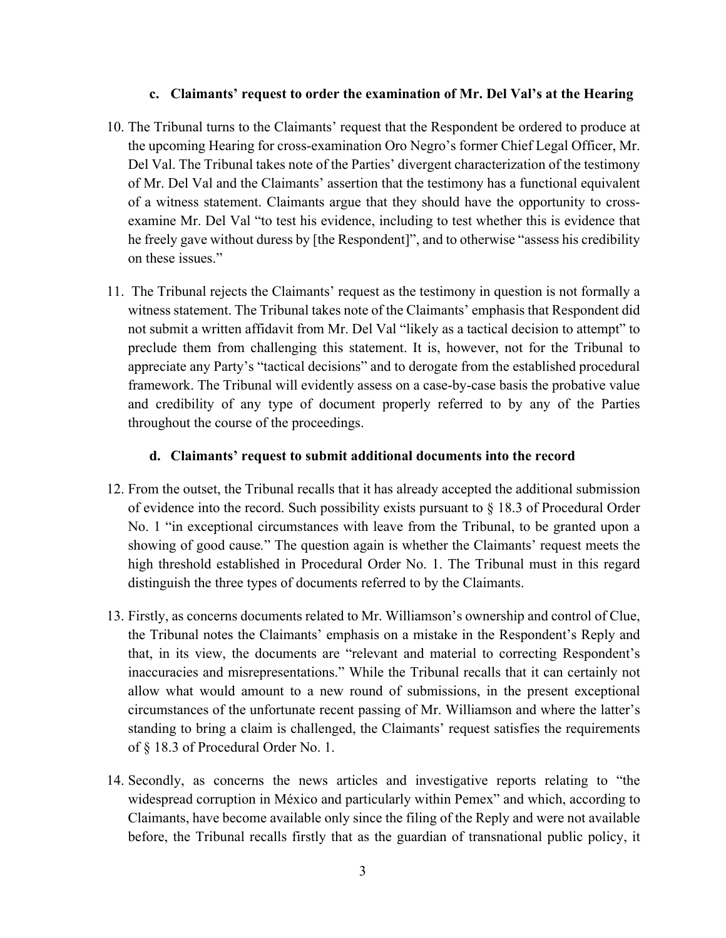### **c. Claimants' request to order the examination of Mr. Del Val's at the Hearing**

- 10. The Tribunal turns to the Claimants' request that the Respondent be ordered to produce at the upcoming Hearing for cross-examination Oro Negro's former Chief Legal Officer, Mr. Del Val. The Tribunal takes note of the Parties' divergent characterization of the testimony of Mr. Del Val and the Claimants' assertion that the testimony has a functional equivalent of a witness statement. Claimants argue that they should have the opportunity to crossexamine Mr. Del Val "to test his evidence, including to test whether this is evidence that he freely gave without duress by [the Respondent]", and to otherwise "assess his credibility on these issues."
- 11. The Tribunal rejects the Claimants' request as the testimony in question is not formally a witness statement. The Tribunal takes note of the Claimants' emphasis that Respondent did not submit a written affidavit from Mr. Del Val "likely as a tactical decision to attempt" to preclude them from challenging this statement. It is, however, not for the Tribunal to appreciate any Party's "tactical decisions" and to derogate from the established procedural framework. The Tribunal will evidently assess on a case-by-case basis the probative value and credibility of any type of document properly referred to by any of the Parties throughout the course of the proceedings.

## **d. Claimants' request to submit additional documents into the record**

- 12. From the outset, the Tribunal recalls that it has already accepted the additional submission of evidence into the record. Such possibility exists pursuant to § 18.3 of Procedural Order No. 1 "in exceptional circumstances with leave from the Tribunal, to be granted upon a showing of good cause*.*" The question again is whether the Claimants' request meets the high threshold established in Procedural Order No. 1. The Tribunal must in this regard distinguish the three types of documents referred to by the Claimants.
- 13. Firstly, as concerns documents related to Mr. Williamson's ownership and control of Clue, the Tribunal notes the Claimants' emphasis on a mistake in the Respondent's Reply and that, in its view, the documents are "relevant and material to correcting Respondent's inaccuracies and misrepresentations." While the Tribunal recalls that it can certainly not allow what would amount to a new round of submissions, in the present exceptional circumstances of the unfortunate recent passing of Mr. Williamson and where the latter's standing to bring a claim is challenged, the Claimants' request satisfies the requirements of § 18.3 of Procedural Order No. 1.
- 14. Secondly, as concerns the news articles and investigative reports relating to "the widespread corruption in México and particularly within Pemex" and which, according to Claimants, have become available only since the filing of the Reply and were not available before, the Tribunal recalls firstly that as the guardian of transnational public policy, it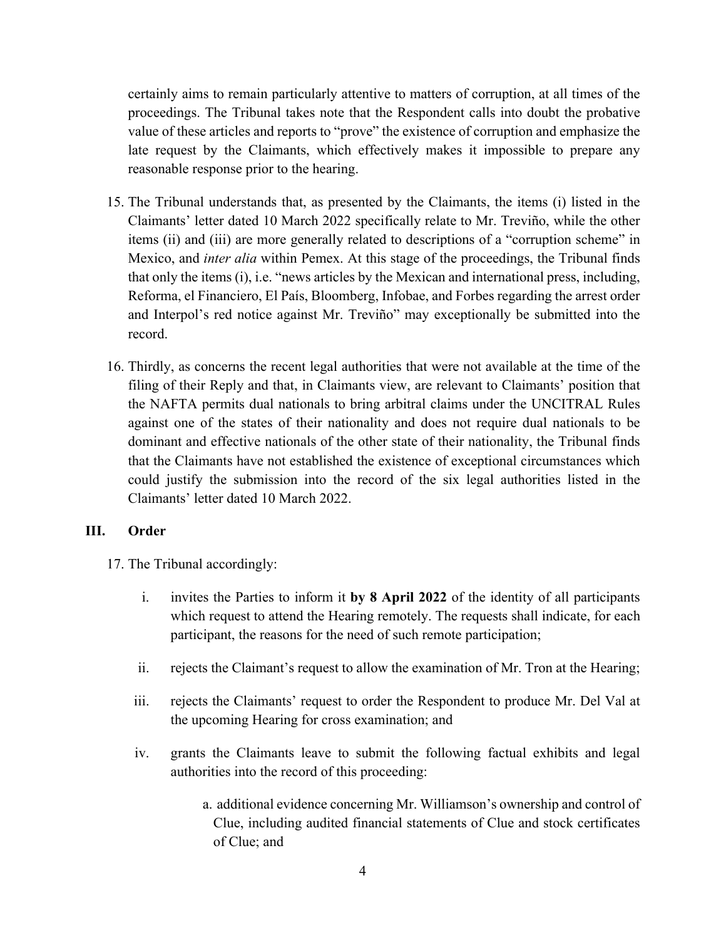certainly aims to remain particularly attentive to matters of corruption, at all times of the proceedings. The Tribunal takes note that the Respondent calls into doubt the probative value of these articles and reports to "prove" the existence of corruption and emphasize the late request by the Claimants, which effectively makes it impossible to prepare any reasonable response prior to the hearing.

- 15. The Tribunal understands that, as presented by the Claimants, the items (i) listed in the Claimants' letter dated 10 March 2022 specifically relate to Mr. Treviño, while the other items (ii) and (iii) are more generally related to descriptions of a "corruption scheme" in Mexico, and *inter alia* within Pemex. At this stage of the proceedings, the Tribunal finds that only the items (i), i.e. "news articles by the Mexican and international press, including, Reforma, el Financiero, El País, Bloomberg, Infobae, and Forbes regarding the arrest order and Interpol's red notice against Mr. Treviño" may exceptionally be submitted into the record.
- 16. Thirdly, as concerns the recent legal authorities that were not available at the time of the filing of their Reply and that, in Claimants view, are relevant to Claimants' position that the NAFTA permits dual nationals to bring arbitral claims under the UNCITRAL Rules against one of the states of their nationality and does not require dual nationals to be dominant and effective nationals of the other state of their nationality, the Tribunal finds that the Claimants have not established the existence of exceptional circumstances which could justify the submission into the record of the six legal authorities listed in the Claimants' letter dated 10 March 2022.

# **III. Order**

17. The Tribunal accordingly:

- i. invites the Parties to inform it **by 8 April 2022** of the identity of all participants which request to attend the Hearing remotely. The requests shall indicate, for each participant, the reasons for the need of such remote participation;
- ii. rejects the Claimant's request to allow the examination of Mr. Tron at the Hearing;
- iii. rejects the Claimants' request to order the Respondent to produce Mr. Del Val at the upcoming Hearing for cross examination; and
- iv. grants the Claimants leave to submit the following factual exhibits and legal authorities into the record of this proceeding:
	- a. additional evidence concerning Mr. Williamson's ownership and control of Clue, including audited financial statements of Clue and stock certificates of Clue; and